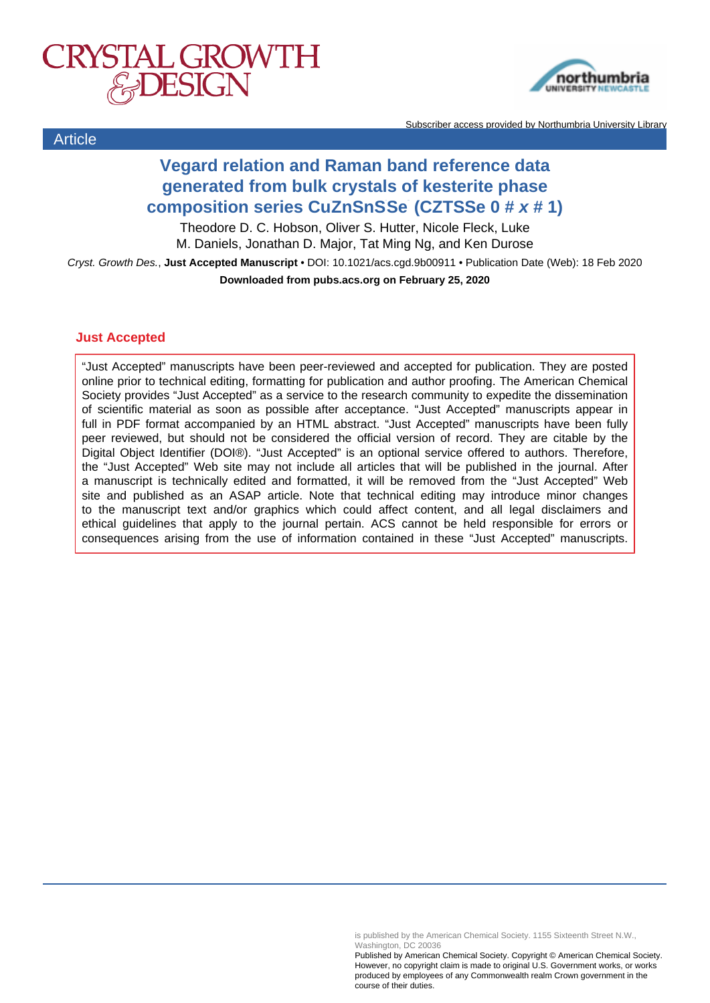



Subscriber access provided by Northumbria University Library

# **Vegard relation and Raman band reference data generated from bulk crystals of kesterite phase composition series Cu<sup>2</sup> ZnSnS4xSe4-4x (CZTSSe 0 # x # 1)**

Theodore D. C. Hobson, Oliver S. Hutter, Nicole Fleck, Luke M. Daniels, Jonathan D. Major, Tat Ming Ng, and Ken Durose

Cryst. Growth Des., **Just Accepted Manuscript** • DOI: 10.1021/acs.cgd.9b00911 • Publication Date (Web): 18 Feb 2020 **Downloaded from pubs.acs.org on February 25, 2020**

### **Just Accepted**

**Article** 

"Just Accepted" manuscripts have been peer-reviewed and accepted for publication. They are posted online prior to technical editing, formatting for publication and author proofing. The American Chemical Society provides "Just Accepted" as a service to the research community to expedite the dissemination of scientific material as soon as possible after acceptance. "Just Accepted" manuscripts appear in full in PDF format accompanied by an HTML abstract. "Just Accepted" manuscripts have been fully peer reviewed, but should not be considered the official version of record. They are citable by the Digital Object Identifier (DOI®). "Just Accepted" is an optional service offered to authors. Therefore, the "Just Accepted" Web site may not include all articles that will be published in the journal. After a manuscript is technically edited and formatted, it will be removed from the "Just Accepted" Web site and published as an ASAP article. Note that technical editing may introduce minor changes to the manuscript text and/or graphics which could affect content, and all legal disclaimers and ethical guidelines that apply to the journal pertain. ACS cannot be held responsible for errors or consequences arising from the use of information contained in these "Just Accepted" manuscripts.

is published by the American Chemical Society. 1155 Sixteenth Street N.W., Washington, DC 20036

Published by American Chemical Society. Copyright © American Chemical Society. However, no copyright claim is made to original U.S. Government works, or works produced by employees of any Commonwealth realm Crown government in the course of their duties.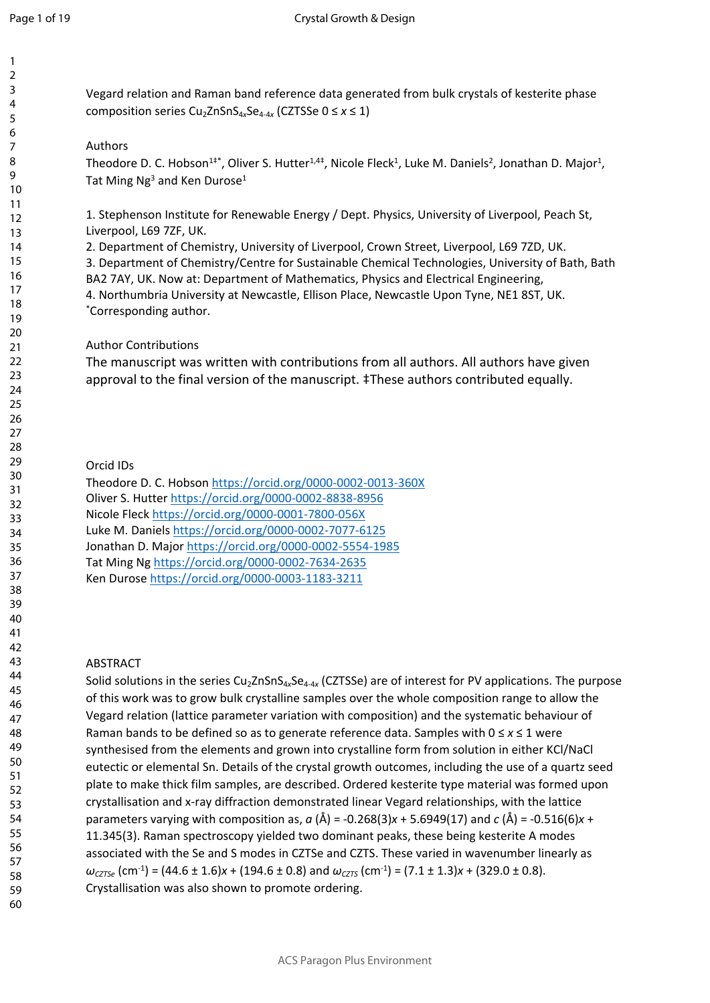Vegard relation and Raman band reference data generated from bulk crystals of kesterite phase composition series Cu2ZnSnS4*x*Se4-4*<sup>x</sup>* (CZTSSe 0 ≤ *x* ≤ 1)

## Authors

Theodore D. C. Hobson<sup>1‡\*</sup>, Oliver S. Hutter<sup>1,4‡</sup>, Nicole Fleck<sup>1</sup>, Luke M. Daniels<sup>2</sup>, Jonathan D. Major<sup>1</sup>, Tat Ming Ng<sup>3</sup> and Ken Durose<sup>1</sup>

1. Stephenson Institute for Renewable Energy / Dept. Physics, University of Liverpool, Peach St, Liverpool, L69 7ZF, UK.

2. Department of Chemistry, University of Liverpool, Crown Street, Liverpool, L69 7ZD, UK. 3. Department of Chemistry/Centre for Sustainable Chemical Technologies, University of Bath, Bath BA2 7AY, UK. Now at: Department of Mathematics, Physics and Electrical Engineering, 4. Northumbria University at Newcastle, Ellison Place, Newcastle Upon Tyne, NE1 8ST, UK. \*Corresponding author.

## Author Contributions

The manuscript was written with contributions from all authors. All authors have given approval to the final version of the manuscript. ‡These authors contributed equally.

## Orcid IDs

Theodore D. C. Hobson <https://orcid.org/0000-0002-0013-360X> Oliver S. Hutter<https://orcid.org/0000-0002-8838-8956> Nicole Fleck <https://orcid.org/0000-0001-7800-056X> Luke M. Daniels<https://orcid.org/0000-0002-7077-6125> Jonathan D. Major <https://orcid.org/0000-0002-5554-1985> Tat Ming Ng <https://orcid.org/0000-0002-7634-2635> Ken Durose <https://orcid.org/0000-0003-1183-3211>

## ABSTRACT

Solid solutions in the series Cu<sub>2</sub>ZnSnS<sub>4x</sub>Se<sub>4-4x</sub> (CZTSSe) are of interest for PV applications. The purpose of this work was to grow bulk crystalline samples over the whole composition range to allow the Vegard relation (lattice parameter variation with composition) and the systematic behaviour of Raman bands to be defined so as to generate reference data. Samples with 0 ≤ *x* ≤ 1 were synthesised from the elements and grown into crystalline form from solution in either KCl/NaCl eutectic or elemental Sn. Details of the crystal growth outcomes, including the use of a quartz seed plate to make thick film samples, are described. Ordered kesterite type material was formed upon crystallisation and x-ray diffraction demonstrated linear Vegard relationships, with the lattice parameters varying with composition as,  $a(\text{\AA}) = -0.268(3)x + 5.6949(17)$  and  $c(\text{\AA}) = -0.516(6)x +$ 11.345(3). Raman spectroscopy yielded two dominant peaks, these being kesterite A modes associated with the Se and S modes in CZTSe and CZTS. These varied in wavenumber linearly as  $\omega_{CZTS}$  (cm<sup>-1</sup>) = (44.6 ± 1.6)*x* + (194.6 ± 0.8) and  $\omega_{CZTS}$  (cm<sup>-1</sup>) = (7.1 ± 1.3)*x* + (329.0 ± 0.8). Crystallisation was also shown to promote ordering.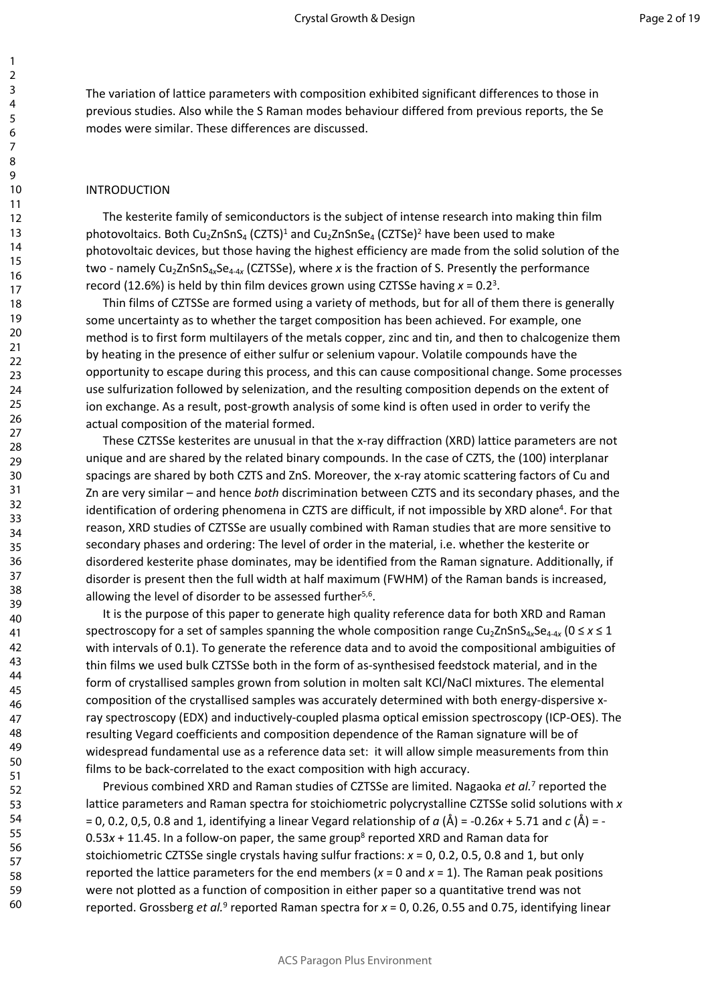The variation of lattice parameters with composition exhibited significant differences to those in previous studies. Also while the S Raman modes behaviour differed from previous reports, the Se modes were similar. These differences are discussed.

#### INTRODUCTION

The kesterite family of semiconductors is the subject of intense research into making thin film photovoltaics. Both Cu<sub>2</sub>ZnSnS<sub>4</sub> (CZTS)<sup>1</sup> and Cu<sub>2</sub>ZnSnSe<sub>4</sub> (CZTSe)<sup>2</sup> have been used to make photovoltaic devices, but those having the highest efficiency are made from the solid solution of the two - namely Cu<sub>2</sub>ZnSnS<sub>4x</sub>Se<sub>4-4x</sub> (CZTSSe), where x is the fraction of S. Presently the performance record (12.6%) is held by thin film devices grown using CZTSSe having  $x = 0.2<sup>3</sup>$ .

Thin films of CZTSSe are formed using a variety of methods, but for all of them there is generally some uncertainty as to whether the target composition has been achieved. For example, one method is to first form multilayers of the metals copper, zinc and tin, and then to chalcogenize them by heating in the presence of either sulfur or selenium vapour. Volatile compounds have the opportunity to escape during this process, and this can cause compositional change. Some processes use sulfurization followed by selenization, and the resulting composition depends on the extent of ion exchange. As a result, post-growth analysis of some kind is often used in order to verify the actual composition of the material formed.

These CZTSSe kesterites are unusual in that the x-ray diffraction (XRD) lattice parameters are not unique and are shared by the related binary compounds. In the case of CZTS, the (100) interplanar spacings are shared by both CZTS and ZnS. Moreover, the x-ray atomic scattering factors of Cu and Zn are very similar – and hence *both* discrimination between CZTS and its secondary phases, and the identification of ordering phenomena in CZTS are difficult, if not impossible by XRD alone<sup>4</sup>. For that reason, XRD studies of CZTSSe are usually combined with Raman studies that are more sensitive to secondary phases and ordering: The level of order in the material, i.e. whether the kesterite or disordered kesterite phase dominates, may be identified from the Raman signature. Additionally, if disorder is present then the full width at half maximum (FWHM) of the Raman bands is increased, allowing the level of disorder to be assessed further<sup>5,6</sup>.

It is the purpose of this paper to generate high quality reference data for both XRD and Raman spectroscopy for a set of samples spanning the whole composition range Cu<sub>2</sub>ZnSnS<sub>4x</sub>Se<sub>4-4x</sub> (0 ≤ *x* ≤ 1 with intervals of 0.1). To generate the reference data and to avoid the compositional ambiguities of thin films we used bulk CZTSSe both in the form of as-synthesised feedstock material, and in the form of crystallised samples grown from solution in molten salt KCl/NaCl mixtures. The elemental composition of the crystallised samples was accurately determined with both energy-dispersive xray spectroscopy (EDX) and inductively-coupled plasma optical emission spectroscopy (ICP-OES). The resulting Vegard coefficients and composition dependence of the Raman signature will be of widespread fundamental use as a reference data set: it will allow simple measurements from thin films to be back-correlated to the exact composition with high accuracy.

Previous combined XRD and Raman studies of CZTSSe are limited. Nagaoka et al.<sup>7</sup> reported the lattice parameters and Raman spectra for stoichiometric polycrystalline CZTSSe solid solutions with *x* = 0, 0.2, 0,5, 0.8 and 1, identifying a linear Vegard relationship of *a* (Å) = -0.26*x* + 5.71 and *c* (Å) = - 0.53x + 11.45. In a follow-on paper, the same group<sup>8</sup> reported XRD and Raman data for stoichiometric CZTSSe single crystals having sulfur fractions: *x* = 0, 0.2, 0.5, 0.8 and 1, but only reported the lattice parameters for the end members ( $x = 0$  and  $x = 1$ ). The Raman peak positions were not plotted as a function of composition in either paper so a quantitative trend was not reported. Grossberg *et al.*<sup>9</sup> reported Raman spectra for x = 0, 0.26, 0.55 and 0.75, identifying linear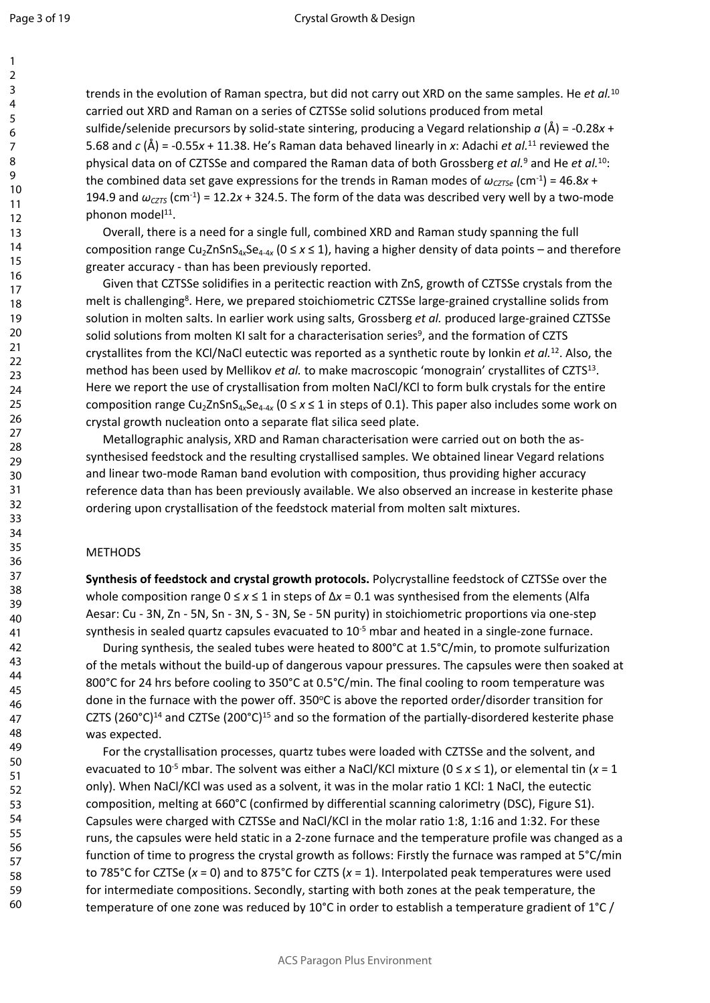trends in the evolution of Raman spectra, but did not carry out XRD on the same samples. He *et al.*<sup>10</sup> carried out XRD and Raman on a series of CZTSSe solid solutions produced from metal sulfide/selenide precursors by solid-state sintering, producing a Vegard relationship *a* (Å) = -0.28*x* + 5.68 and *c* (Å) = -0.55*x* + 11.38. He's Raman data behaved linearly in *x*: Adachi *et al.*<sup>11</sup> reviewed the physical data on of CZTSSe and compared the Raman data of both Grossberg *et al.*<sup>9</sup> and He *et al.*<sup>10</sup>: the combined data set gave expressions for the trends in Raman modes of  $\omega_{\text{CZT}\text{S}e}$  (cm<sup>-1</sup>) = 46.8*x* + 194.9 and  $\omega_{\text{CZTS}}$  (cm<sup>-1</sup>) = 12.2*x* + 324.5. The form of the data was described very well by a two-mode phonon model<sup>11</sup>.

Overall, there is a need for a single full, combined XRD and Raman study spanning the full composition range Cu<sub>2</sub>ZnSnS<sub>4x</sub>Se<sub>4-4x</sub> (0 ≤ x ≤ 1), having a higher density of data points – and therefore greater accuracy - than has been previously reported.

Given that CZTSSe solidifies in a peritectic reaction with ZnS, growth of CZTSSe crystals from the melt is challenging<sup>8</sup>. Here, we prepared stoichiometric CZTSSe large-grained crystalline solids from solution in molten salts. In earlier work using salts, Grossberg *et al.* produced large-grained CZTSSe solid solutions from molten KI salt for a characterisation series<sup>9</sup>, and the formation of CZTS crystallites from the KCl/NaCl eutectic was reported as a synthetic route by Ionkin *et al.*<sup>12</sup>. Also, the method has been used by Mellikov et al. to make macroscopic 'monograin' crystallites of CZTS<sup>13</sup>. Here we report the use of crystallisation from molten NaCl/KCl to form bulk crystals for the entire composition range Cu<sub>2</sub>ZnSnS<sub>4x</sub>Se<sub>4-4x</sub> (0 ≤ x ≤ 1 in steps of 0.1). This paper also includes some work on crystal growth nucleation onto a separate flat silica seed plate.

Metallographic analysis, XRD and Raman characterisation were carried out on both the assynthesised feedstock and the resulting crystallised samples. We obtained linear Vegard relations and linear two-mode Raman band evolution with composition, thus providing higher accuracy reference data than has been previously available. We also observed an increase in kesterite phase ordering upon crystallisation of the feedstock material from molten salt mixtures.

#### METHODS

**Synthesis of feedstock and crystal growth protocols.** Polycrystalline feedstock of CZTSSe over the whole composition range 0 ≤ *x* ≤ 1 in steps of Δ*x* = 0.1 was synthesised from the elements (Alfa Aesar: Cu - 3N, Zn - 5N, Sn - 3N, S - 3N, Se - 5N purity) in stoichiometric proportions via one-step synthesis in sealed quartz capsules evacuated to 10<sup>-5</sup> mbar and heated in a single-zone furnace.

During synthesis, the sealed tubes were heated to 800°C at 1.5°C/min, to promote sulfurization of the metals without the build-up of dangerous vapour pressures. The capsules were then soaked at 800°C for 24 hrs before cooling to 350°C at 0.5°C/min. The final cooling to room temperature was done in the furnace with the power off. 350°C is above the reported order/disorder transition for CZTS (260°C)<sup>14</sup> and CZTSe (200°C)<sup>15</sup> and so the formation of the partially-disordered kesterite phase was expected.

For the crystallisation processes, quartz tubes were loaded with CZTSSe and the solvent, and evacuated to 10-5 mbar. The solvent was either a NaCl/KCl mixture (0 ≤ *x* ≤ 1), or elemental tin (*x* = 1 only). When NaCl/KCl was used as a solvent, it was in the molar ratio 1 KCl: 1 NaCl, the eutectic composition, melting at 660°C (confirmed by differential scanning calorimetry (DSC), Figure S1). Capsules were charged with CZTSSe and NaCl/KCl in the molar ratio 1:8, 1:16 and 1:32. For these runs, the capsules were held static in a 2-zone furnace and the temperature profile was changed as a function of time to progress the crystal growth as follows: Firstly the furnace was ramped at 5°C/min to 785°C for CZTSe (*x* = 0) and to 875°C for CZTS (*x* = 1). Interpolated peak temperatures were used for intermediate compositions. Secondly, starting with both zones at the peak temperature, the temperature of one zone was reduced by 10°C in order to establish a temperature gradient of 1°C /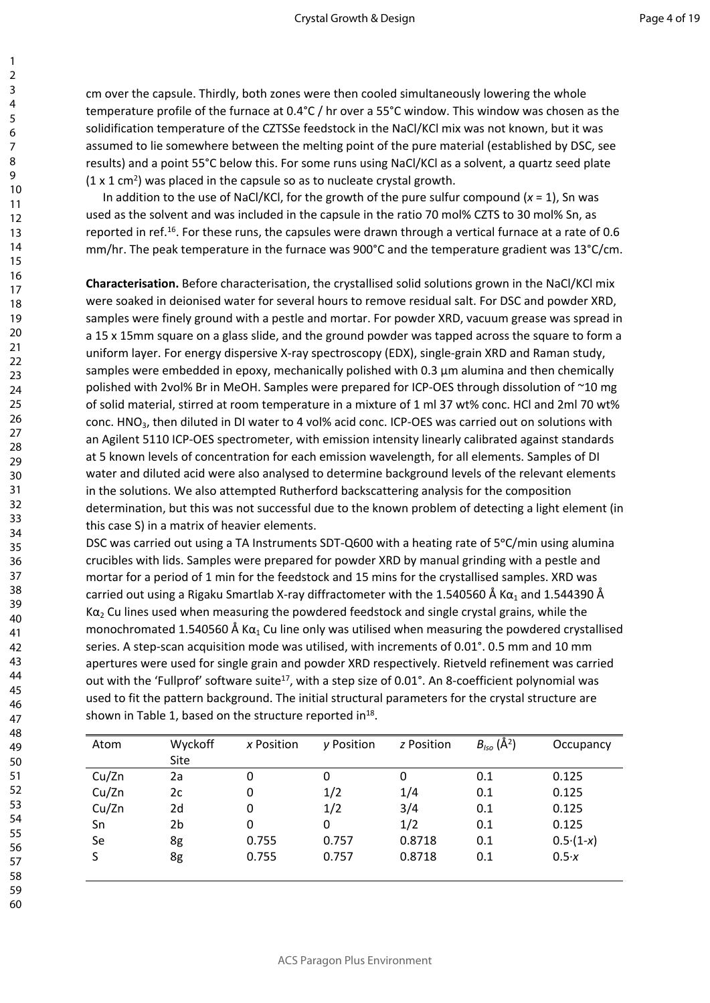cm over the capsule. Thirdly, both zones were then cooled simultaneously lowering the whole temperature profile of the furnace at 0.4°C / hr over a 55°C window. This window was chosen as the solidification temperature of the CZTSSe feedstock in the NaCl/KCl mix was not known, but it was assumed to lie somewhere between the melting point of the pure material (established by DSC, see results) and a point 55°C below this. For some runs using NaCl/KCl as a solvent, a quartz seed plate  $(1 \times 1 \text{ cm}^2)$  was placed in the capsule so as to nucleate crystal growth.

In addition to the use of NaCl/KCl, for the growth of the pure sulfur compound (*x* = 1), Sn was used as the solvent and was included in the capsule in the ratio 70 mol% CZTS to 30 mol% Sn, as reported in ref.<sup>16</sup>. For these runs, the capsules were drawn through a vertical furnace at a rate of 0.6 mm/hr. The peak temperature in the furnace was 900°C and the temperature gradient was 13°C/cm.

**Characterisation.** Before characterisation, the crystallised solid solutions grown in the NaCl/KCl mix were soaked in deionised water for several hours to remove residual salt. For DSC and powder XRD, samples were finely ground with a pestle and mortar. For powder XRD, vacuum grease was spread in a 15 x 15mm square on a glass slide, and the ground powder was tapped across the square to form a uniform layer. For energy dispersive X-ray spectroscopy (EDX), single-grain XRD and Raman study, samples were embedded in epoxy, mechanically polished with 0.3 μm alumina and then chemically polished with 2vol% Br in MeOH. Samples were prepared for ICP-OES through dissolution of ~10 mg of solid material, stirred at room temperature in a mixture of 1 ml 37 wt% conc. HCl and 2ml 70 wt% conc. HNO<sub>3</sub>, then diluted in DI water to 4 vol% acid conc. ICP-OES was carried out on solutions with an Agilent 5110 ICP-OES spectrometer, with emission intensity linearly calibrated against standards at 5 known levels of concentration for each emission wavelength, for all elements. Samples of DI water and diluted acid were also analysed to determine background levels of the relevant elements in the solutions. We also attempted Rutherford backscattering analysis for the composition determination, but this was not successful due to the known problem of detecting a light element (in this case S) in a matrix of heavier elements.

DSC was carried out using a TA Instruments SDT-Q600 with a heating rate of 5 °C/min using alumina crucibles with lids. Samples were prepared for powder XRD by manual grinding with a pestle and mortar for a period of 1 min for the feedstock and 15 mins for the crystallised samples. XRD was carried out using a Rigaku Smartlab X-ray diffractometer with the 1.540560 Å K $\alpha_1$  and 1.544390 Å K $\alpha_2$  Cu lines used when measuring the powdered feedstock and single crystal grains, while the monochromated 1.540560 Å K $\alpha_1$  Cu line only was utilised when measuring the powdered crystallised series. A step-scan acquisition mode was utilised, with increments of 0.01°. 0.5 mm and 10 mm apertures were used for single grain and powder XRD respectively. Rietveld refinement was carried out with the 'Fullprof' software suite<sup>17</sup>, with a step size of 0.01°. An 8-coefficient polynomial was used to fit the pattern background. The initial structural parameters for the crystal structure are shown in Table 1, based on the structure reported in $^{18}$ .

| Atom  | Wyckoff | x Position | y Position | z Position | $B_{\text{iso}}(\text{Å}^2)$ | Occupancy  |
|-------|---------|------------|------------|------------|------------------------------|------------|
|       | Site    |            |            |            |                              |            |
| Cu/Zn | 2a      | 0          | 0          | 0          | 0.1                          | 0.125      |
| Cu/Zn | 2c      | 0          | 1/2        | 1/4        | 0.1                          | 0.125      |
| Cu/Zn | 2d      | 0          | 1/2        | 3/4        | 0.1                          | 0.125      |
| Sn    | 2b      | 0          | 0          | 1/2        | 0.1                          | 0.125      |
| Se    | 8g      | 0.755      | 0.757      | 0.8718     | 0.1                          | $0.5(1-x)$ |
| S     | 8g      | 0.755      | 0.757      | 0.8718     | 0.1                          | 0.5x       |
|       |         |            |            |            |                              |            |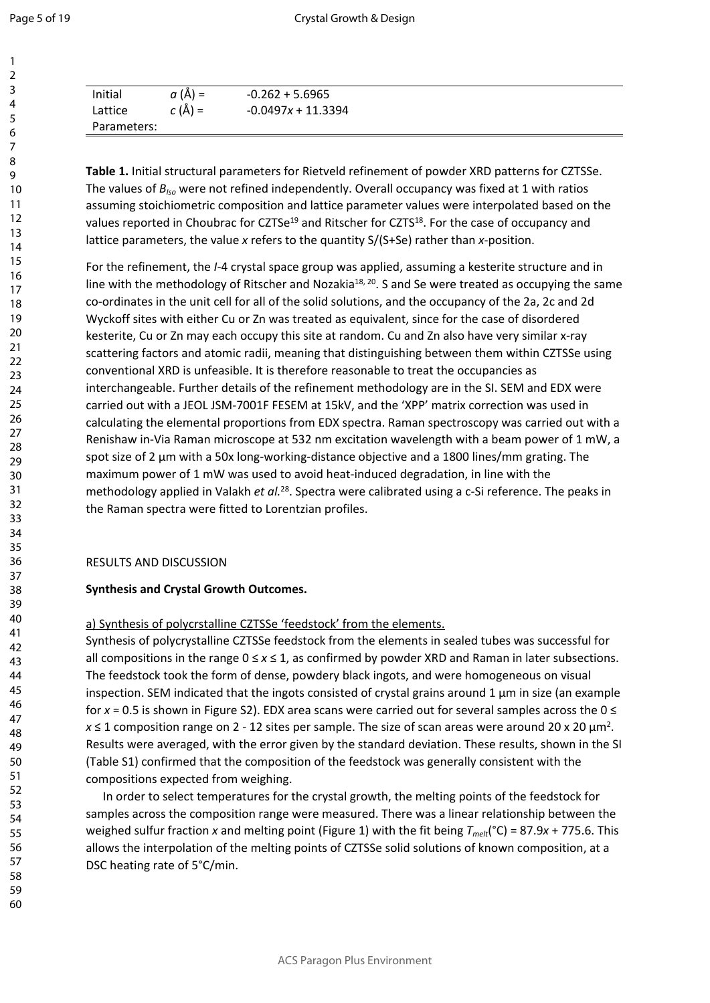| Page 5 of 19 |  |  |  |  |  |
|--------------|--|--|--|--|--|
|--------------|--|--|--|--|--|

| Initial     | $a(\AA) =$       | $-0.262 + 5.6965$    |  |
|-------------|------------------|----------------------|--|
| Lattice     | $C(\tilde{A}) =$ | $-0.0497x + 11.3394$ |  |
| Parameters: |                  |                      |  |

**Table 1.** Initial structural parameters for Rietveld refinement of powder XRD patterns for CZTSSe. The values of *BIso* were not refined independently. Overall occupancy was fixed at 1 with ratios assuming stoichiometric composition and lattice parameter values were interpolated based on the values reported in Choubrac for CZTSe<sup>19</sup> and Ritscher for CZTS<sup>18</sup>. For the case of occupancy and lattice parameters, the value *x* refers to the quantity S/(S+Se) rather than *x*-position.

For the refinement, the *I-*4 crystal space group was applied, assuming a kesterite structure and in line with the methodology of Ritscher and Nozakia<sup>18, 20</sup>. S and Se were treated as occupying the same co-ordinates in the unit cell for all of the solid solutions, and the occupancy of the 2a, 2c and 2d Wyckoff sites with either Cu or Zn was treated as equivalent, since for the case of disordered kesterite, Cu or Zn may each occupy this site at random. Cu and Zn also have very similar x-ray scattering factors and atomic radii, meaning that distinguishing between them within CZTSSe using conventional XRD is unfeasible. It is therefore reasonable to treat the occupancies as interchangeable. Further details of the refinement methodology are in the SI. SEM and EDX were carried out with a JEOL JSM-7001F FESEM at 15kV, and the 'XPP' matrix correction was used in calculating the elemental proportions from EDX spectra. Raman spectroscopy was carried out with a Renishaw in-Via Raman microscope at 532 nm excitation wavelength with a beam power of 1 mW, a spot size of 2 μm with a 50x long-working-distance objective and a 1800 lines/mm grating. The maximum power of 1 mW was used to avoid heat-induced degradation, in line with the methodology applied in Valakh *et al.*<sup>28</sup>. Spectra were calibrated using a c-Si reference. The peaks in the Raman spectra were fitted to Lorentzian profiles.

#### RESULTS AND DISCUSSION

#### **Synthesis and Crystal Growth Outcomes.**

a) Synthesis of polycrstalline CZTSSe 'feedstock' from the elements.

Synthesis of polycrystalline CZTSSe feedstock from the elements in sealed tubes was successful for all compositions in the range 0 ≤ *x* ≤ 1, as confirmed by powder XRD and Raman in later subsections. The feedstock took the form of dense, powdery black ingots, and were homogeneous on visual inspection. SEM indicated that the ingots consisted of crystal grains around  $1 \mu m$  in size (an example for *x* = 0.5 is shown in Figure S2). EDX area scans were carried out for several samples across the 0 ≤  $x \le 1$  composition range on 2 - 12 sites per sample. The size of scan areas were around 20 x 20  $\mu$ m<sup>2</sup>. Results were averaged, with the error given by the standard deviation. These results, shown in the SI (Table S1) confirmed that the composition of the feedstock was generally consistent with the compositions expected from weighing.

In order to select temperatures for the crystal growth, the melting points of the feedstock for samples across the composition range were measured. There was a linear relationship between the weighed sulfur fraction *x* and melting point (Figure 1) with the fit being *Tmelt*(°C) = 87.9*x* + 775.6. This allows the interpolation of the melting points of CZTSSe solid solutions of known composition, at a DSC heating rate of 5°C/min.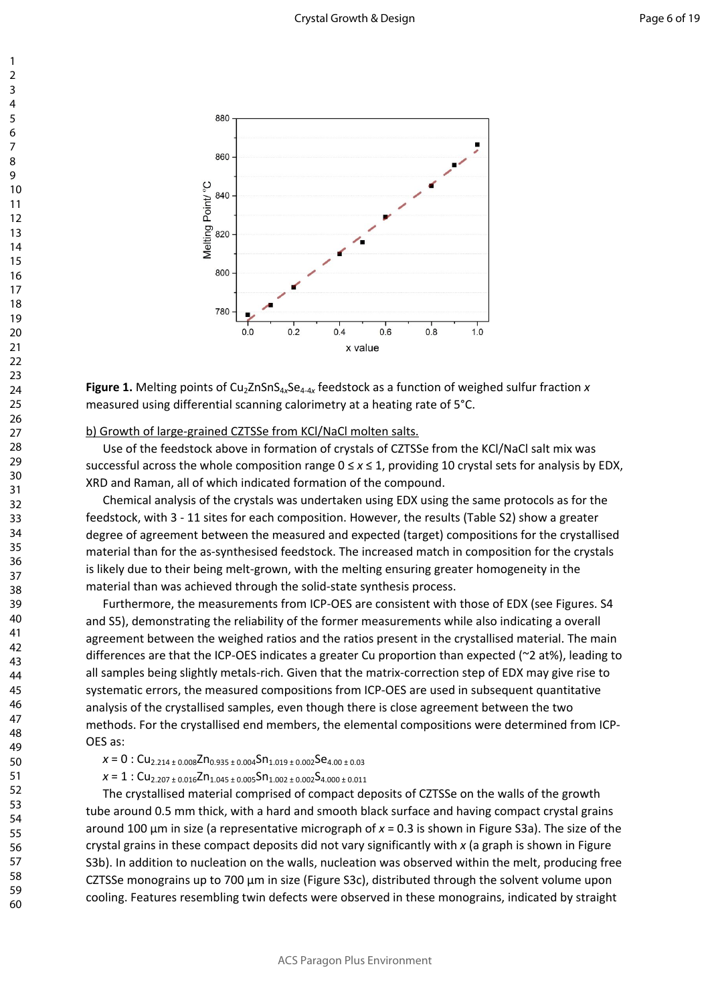

Figure 1. Melting points of Cu<sub>2</sub>ZnSnS<sub>4x</sub>Se<sub>4-4x</sub> feedstock as a function of weighed sulfur fraction *x* measured using differential scanning calorimetry at a heating rate of 5°C.

#### b) Growth of large-grained CZTSSe from KCl/NaCl molten salts.

Use of the feedstock above in formation of crystals of CZTSSe from the KCl/NaCl salt mix was successful across the whole composition range 0 ≤ *x* ≤ 1, providing 10 crystal sets for analysis by EDX, XRD and Raman, all of which indicated formation of the compound.

Chemical analysis of the crystals was undertaken using EDX using the same protocols as for the feedstock, with 3 - 11 sites for each composition. However, the results (Table S2) show a greater degree of agreement between the measured and expected (target) compositions for the crystallised material than for the as-synthesised feedstock. The increased match in composition for the crystals is likely due to their being melt-grown, with the melting ensuring greater homogeneity in the material than was achieved through the solid-state synthesis process.

Furthermore, the measurements from ICP-OES are consistent with those of EDX (see Figures. S4 and S5), demonstrating the reliability of the former measurements while also indicating a overall agreement between the weighed ratios and the ratios present in the crystallised material. The main differences are that the ICP-OES indicates a greater Cu proportion than expected (~2 at%), leading to all samples being slightly metals-rich. Given that the matrix-correction step of EDX may give rise to systematic errors, the measured compositions from ICP-OES are used in subsequent quantitative analysis of the crystallised samples, even though there is close agreement between the two methods. For the crystallised end members, the elemental compositions were determined from ICP-OES as:

#### $x = 0$  : Cu<sub>2.214 ± 0.008</sub>Zn<sub>0.935 ± 0.004</sub>Sn<sub>1.019 ± 0.002</sub>Se<sub>4.00 ± 0.03</sub>

 $x = 1$  : Cu<sub>2.207 ± 0.016</sub>Zn<sub>1.045</sub> ± 0.005</sub>Sn<sub>1.002</sub> ± 0.002</sub>S<sub>4.000</sub> ± 0.011

The crystallised material comprised of compact deposits of CZTSSe on the walls of the growth tube around 0.5 mm thick, with a hard and smooth black surface and having compact crystal grains around 100 μm in size (a representative micrograph of *x* = 0.3 is shown in Figure S3a). The size of the crystal grains in these compact deposits did not vary significantly with *x* (a graph is shown in Figure S3b). In addition to nucleation on the walls, nucleation was observed within the melt, producing free CZTSSe monograins up to 700 μm in size (Figure S3c), distributed through the solvent volume upon cooling. Features resembling twin defects were observed in these monograins, indicated by straight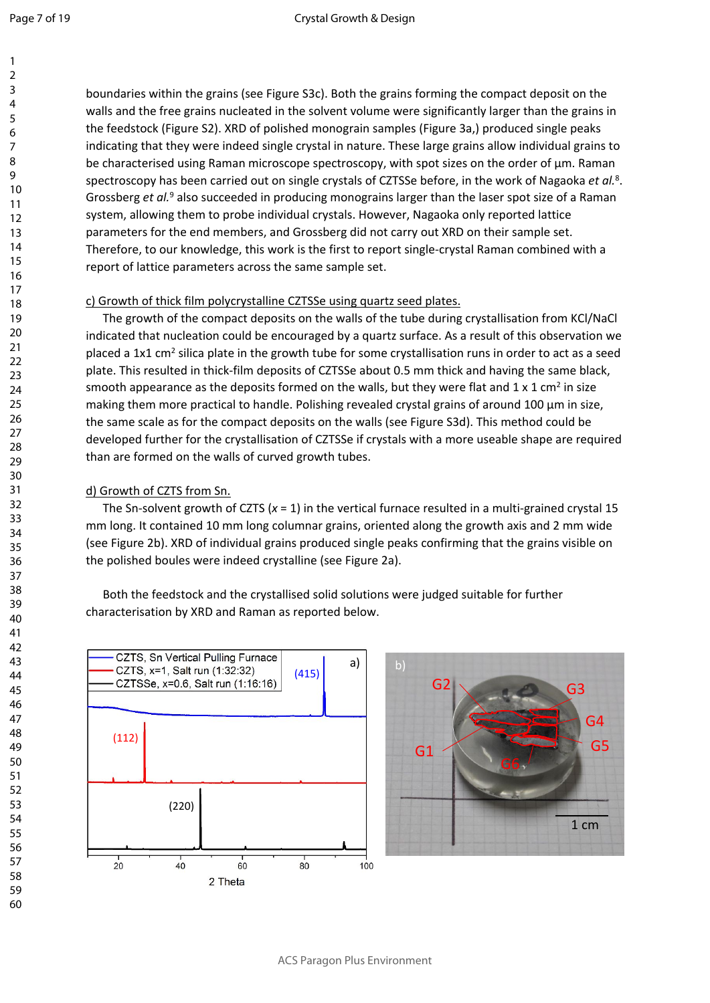boundaries within the grains (see Figure S3c). Both the grains forming the compact deposit on the walls and the free grains nucleated in the solvent volume were significantly larger than the grains in the feedstock (Figure S2). XRD of polished monograin samples (Figure 3a,) produced single peaks indicating that they were indeed single crystal in nature. These large grains allow individual grains to be characterised using Raman microscope spectroscopy, with spot sizes on the order of  $\mu$ m. Raman spectroscopy has been carried out on single crystals of CZTSSe before, in the work of Nagaoka *et al.*<sup>8</sup> . Grossberg et al.<sup>9</sup> also succeeded in producing monograins larger than the laser spot size of a Raman system, allowing them to probe individual crystals. However, Nagaoka only reported lattice parameters for the end members, and Grossberg did not carry out XRD on their sample set. Therefore, to our knowledge, this work is the first to report single-crystal Raman combined with a report of lattice parameters across the same sample set.

### c) Growth of thick film polycrystalline CZTSSe using quartz seed plates.

The growth of the compact deposits on the walls of the tube during crystallisation from KCl/NaCl indicated that nucleation could be encouraged by a quartz surface. As a result of this observation we placed a 1x1 cm<sup>2</sup> silica plate in the growth tube for some crystallisation runs in order to act as a seed plate. This resulted in thick-film deposits of CZTSSe about 0.5 mm thick and having the same black, smooth appearance as the deposits formed on the walls, but they were flat and  $1 \times 1$  cm<sup>2</sup> in size making them more practical to handle. Polishing revealed crystal grains of around 100 μm in size, the same scale as for the compact deposits on the walls (see Figure S3d). This method could be developed further for the crystallisation of CZTSSe if crystals with a more useable shape are required than are formed on the walls of curved growth tubes.

### d) Growth of CZTS from Sn.

The Sn-solvent growth of CZTS (*x* = 1) in the vertical furnace resulted in a multi-grained crystal 15 mm long. It contained 10 mm long columnar grains, oriented along the growth axis and 2 mm wide (see Figure 2b). XRD of individual grains produced single peaks confirming that the grains visible on the polished boules were indeed crystalline (see Figure 2a).

Both the feedstock and the crystallised solid solutions were judged suitable for further characterisation by XRD and Raman as reported below.



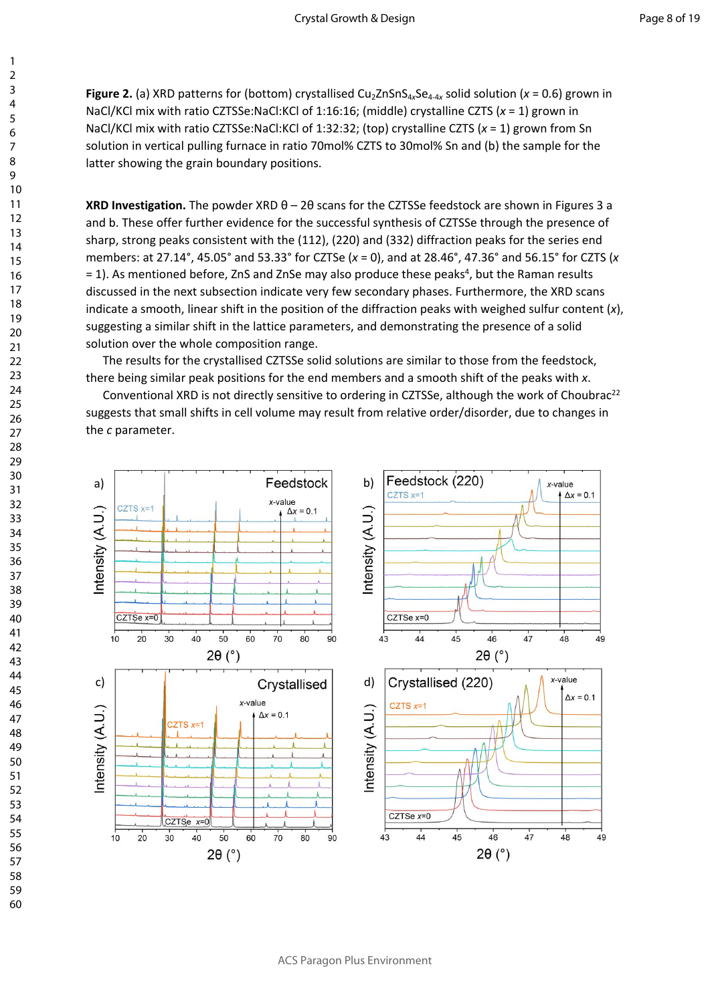**Figure 2.** (a) XRD patterns for (bottom) crystallised Cu<sub>2</sub>ZnSnS<sub>4x</sub>Se<sub>4-4x</sub> solid solution (*x* = 0.6) grown in NaCl/KCl mix with ratio CZTSSe:NaCl:KCl of 1:16:16; (middle) crystalline CZTS (*x* = 1) grown in NaCl/KCl mix with ratio CZTSSe:NaCl:KCl of 1:32:32; (top) crystalline CZTS (*x* = 1) grown from Sn solution in vertical pulling furnace in ratio 70mol% CZTS to 30mol% Sn and (b) the sample for the latter showing the grain boundary positions.

**XRD Investigation.** The powder XRD θ – 2θ scans for the CZTSSe feedstock are shown in Figures 3 a and b. These offer further evidence for the successful synthesis of CZTSSe through the presence of sharp, strong peaks consistent with the (112), (220) and (332) diffraction peaks for the series end members: at 27.14°, 45.05° and 53.33° for CZTSe (*x* = 0), and at 28.46°, 47.36° and 56.15° for CZTS (*x* = 1). As mentioned before, ZnS and ZnSe may also produce these peaks<sup>4</sup>, but the Raman results discussed in the next subsection indicate very few secondary phases. Furthermore, the XRD scans indicate a smooth, linear shift in the position of the diffraction peaks with weighed sulfur content (*x*), suggesting a similar shift in the lattice parameters, and demonstrating the presence of a solid solution over the whole composition range.

The results for the crystallised CZTSSe solid solutions are similar to those from the feedstock, there being similar peak positions for the end members and a smooth shift of the peaks with *x*.

Conventional XRD is not directly sensitive to ordering in CZTSSe, although the work of Choubrac<sup>22</sup> suggests that small shifts in cell volume may result from relative order/disorder, due to changes in the *c* parameter.

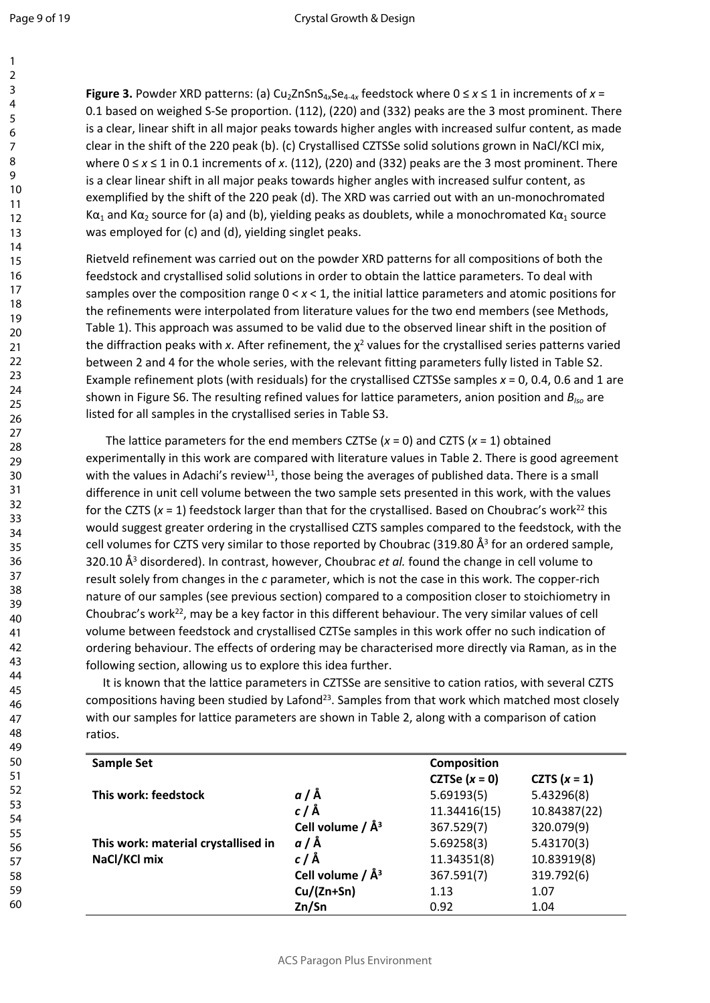**Figure 3.** Powder XRD patterns: (a) Cu<sub>2</sub>ZnSnS<sub>4x</sub>Se<sub>4-4x</sub> feedstock where  $0 \le x \le 1$  in increments of  $x =$ 0.1 based on weighed S-Se proportion. (112), (220) and (332) peaks are the 3 most prominent. There is a clear, linear shift in all major peaks towards higher angles with increased sulfur content, as made clear in the shift of the 220 peak (b). (c) Crystallised CZTSSe solid solutions grown in NaCl/KCl mix, where 0 ≤ *x* ≤ 1 in 0.1 increments of *x*. (112), (220) and (332) peaks are the 3 most prominent. There is a clear linear shift in all major peaks towards higher angles with increased sulfur content, as exemplified by the shift of the 220 peak (d). The XRD was carried out with an un-monochromated K $\alpha_1$  and K $\alpha_2$  source for (a) and (b), yielding peaks as doublets, while a monochromated K $\alpha_1$  source was employed for (c) and (d), yielding singlet peaks.

Rietveld refinement was carried out on the powder XRD patterns for all compositions of both the feedstock and crystallised solid solutions in order to obtain the lattice parameters. To deal with samples over the composition range 0 < *x* < 1, the initial lattice parameters and atomic positions for the refinements were interpolated from literature values for the two end members (see Methods, Table 1). This approach was assumed to be valid due to the observed linear shift in the position of the diffraction peaks with  $x$ . After refinement, the  $\chi^2$  values for the crystallised series patterns varied between 2 and 4 for the whole series, with the relevant fitting parameters fully listed in Table S2. Example refinement plots (with residuals) for the crystallised CZTSSe samples *x* = 0, 0.4, 0.6 and 1 are shown in Figure S6. The resulting refined values for lattice parameters, anion position and *BIso* are listed for all samples in the crystallised series in Table S3.

The lattice parameters for the end members CZTSe  $(x = 0)$  and CZTS  $(x = 1)$  obtained experimentally in this work are compared with literature values in Table 2. There is good agreement with the values in Adachi's review<sup>11</sup>, those being the averages of published data. There is a small difference in unit cell volume between the two sample sets presented in this work, with the values for the CZTS ( $x = 1$ ) feedstock larger than that for the crystallised. Based on Choubrac's work<sup>22</sup> this would suggest greater ordering in the crystallised CZTS samples compared to the feedstock, with the cell volumes for CZTS very similar to those reported by Choubrac (319.80  $\AA^3$  for an ordered sample, 320.10 Å<sup>3</sup> disordered). In contrast, however, Choubrac *et al.* found the change in cell volume to result solely from changes in the *c* parameter, which is not the case in this work. The copper-rich nature of our samples (see previous section) compared to a composition closer to stoichiometry in Choubrac's work<sup>22</sup>, may be a key factor in this different behaviour. The very similar values of cell volume between feedstock and crystallised CZTSe samples in this work offer no such indication of ordering behaviour. The effects of ordering may be characterised more directly via Raman, as in the following section, allowing us to explore this idea further.

It is known that the lattice parameters in CZTSSe are sensitive to cation ratios, with several CZTS compositions having been studied by Lafond<sup>23</sup>. Samples from that work which matched most closely with our samples for lattice parameters are shown in Table 2, along with a comparison of cation ratios.

| <b>Sample Set</b>                   |                       | <b>Composition</b> |                |
|-------------------------------------|-----------------------|--------------------|----------------|
|                                     |                       | CZTSe $(x = 0)$    | CZTS $(x = 1)$ |
| This work: feedstock                | $a/\AA$               | 5.69193(5)         | 5.43296(8)     |
|                                     | $c/\AA$               | 11.34416(15)       | 10.84387(22)   |
|                                     | Cell volume / $\AA^3$ | 367.529(7)         | 320.079(9)     |
| This work: material crystallised in | $a/\text{\AA}$        | 5.69258(3)         | 5.43170(3)     |
| NaCl/KCl mix                        | $c/\text{\AA}$        | 11.34351(8)        | 10.83919(8)    |
|                                     | Cell volume / $\AA^3$ | 367.591(7)         | 319.792(6)     |
|                                     | $Cu/(Zn+Sn)$          | 1.13               | 1.07           |
|                                     | Zn/Sn                 | 0.92               | 1.04           |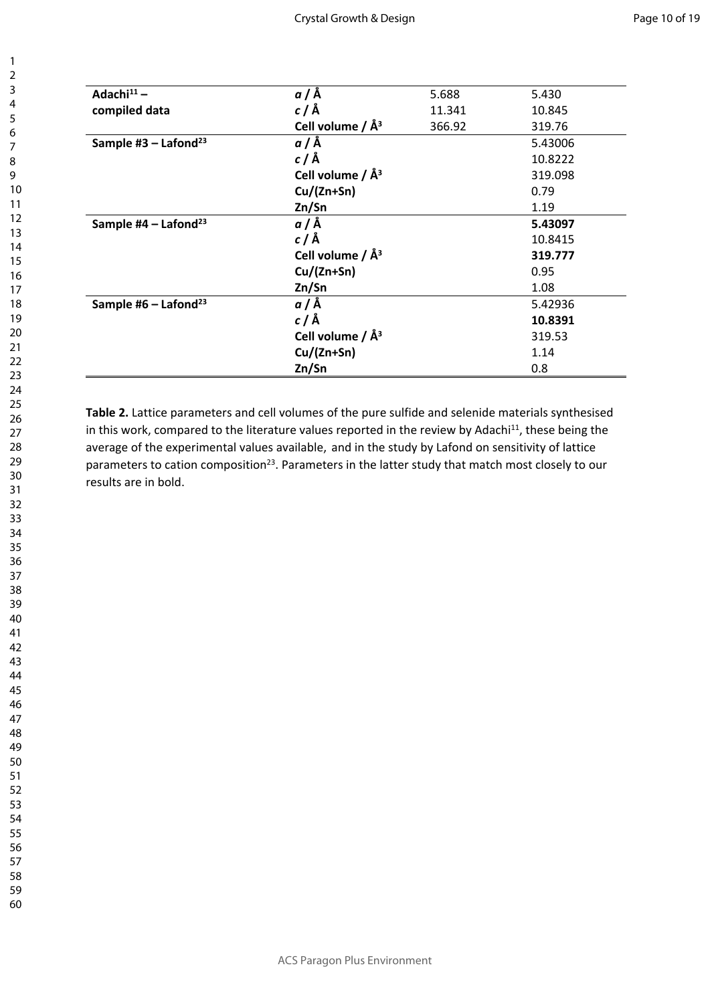| $a/\text{\AA}$        | 5.688  | 5.430   |
|-----------------------|--------|---------|
| $c/\AA$               | 11.341 | 10.845  |
| Cell volume / $\AA^3$ | 366.92 | 319.76  |
| $a/\AA$               |        | 5.43006 |
| $c/\AA$               |        | 10.8222 |
| Cell volume / $\AA^3$ |        | 319.098 |
| $Cu/(Zn+Sn)$          |        | 0.79    |
| Zn/Sn                 |        | 1.19    |
| $a/\AA$               |        | 5.43097 |
| $c/\AA$               |        | 10.8415 |
| Cell volume / $\AA^3$ |        | 319.777 |
| $Cu/(Zn+Sn)$          |        | 0.95    |
| Zn/Sn                 |        | 1.08    |
| $a/\AA$               |        | 5.42936 |
| $c/\AA$               |        | 10.8391 |
| Cell volume / $\AA^3$ |        | 319.53  |
| $Cu/(Zn+Sn)$          |        | 1.14    |
| Zn/Sn                 |        | 0.8     |
|                       |        |         |

**Table 2.** Lattice parameters and cell volumes of the pure sulfide and selenide materials synthesised in this work, compared to the literature values reported in the review by Adachi<sup>11</sup>, these being the average of the experimental values available, and in the study by Lafond on sensitivity of lattice parameters to cation composition<sup>23</sup>. Parameters in the latter study that match most closely to our results are in bold.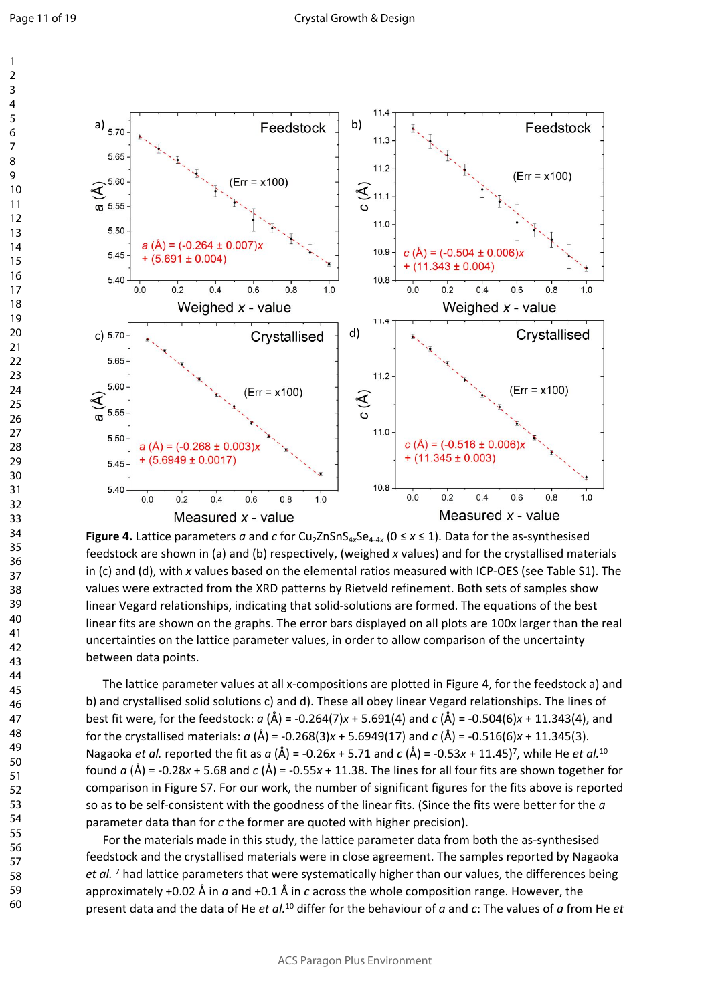

**Figure 4.** Lattice parameters  $a$  and  $c$  for Cu<sub>2</sub>ZnSnS<sub>4x</sub>Se<sub>4-4x</sub> ( $0 \le x \le 1$ ). Data for the as-synthesised feedstock are shown in (a) and (b) respectively, (weighed *x* values) and for the crystallised materials in (c) and (d), with *x* values based on the elemental ratios measured with ICP-OES (see Table S1). The values were extracted from the XRD patterns by Rietveld refinement. Both sets of samples show linear Vegard relationships, indicating that solid-solutions are formed. The equations of the best linear fits are shown on the graphs. The error bars displayed on all plots are 100x larger than the real uncertainties on the lattice parameter values, in order to allow comparison of the uncertainty between data points.

The lattice parameter values at all x-compositions are plotted in Figure 4, for the feedstock a) and b) and crystallised solid solutions c) and d). These all obey linear Vegard relationships. The lines of best fit were, for the feedstock: *a* (Å) = -0.264(7)*x* + 5.691(4) and *c* (Å) = -0.504(6)*x* + 11.343(4), and for the crystallised materials: *a* (Å) = -0.268(3)*x* + 5.6949(17) and *c* (Å) = -0.516(6)*x* + 11.345(3). Nagaoka *et al.* reported the fit as *a* (Å) = -0.26*x* + 5.71 and *c* (Å) = -0.53*x* + 11.45)<sup>7</sup> , while He *et al.*<sup>10</sup> found  $a(\hat{A})$  = -0.28x + 5.68 and  $c(\hat{A})$  = -0.55x + 11.38. The lines for all four fits are shown together for comparison in Figure S7. For our work, the number of significant figures for the fits above is reported so as to be self-consistent with the goodness of the linear fits. (Since the fits were better for the *a* parameter data than for *c* the former are quoted with higher precision).

For the materials made in this study, the lattice parameter data from both the as-synthesised feedstock and the crystallised materials were in close agreement. The samples reported by Nagaoka et al.<sup>7</sup> had lattice parameters that were systematically higher than our values, the differences being approximately +0.02 Å in *a* and +0.1 Å in *c* across the whole composition range. However, the present data and the data of He *et al.*<sup>10</sup> differ for the behaviour of *a* and *c*: The values of *a* from He *et*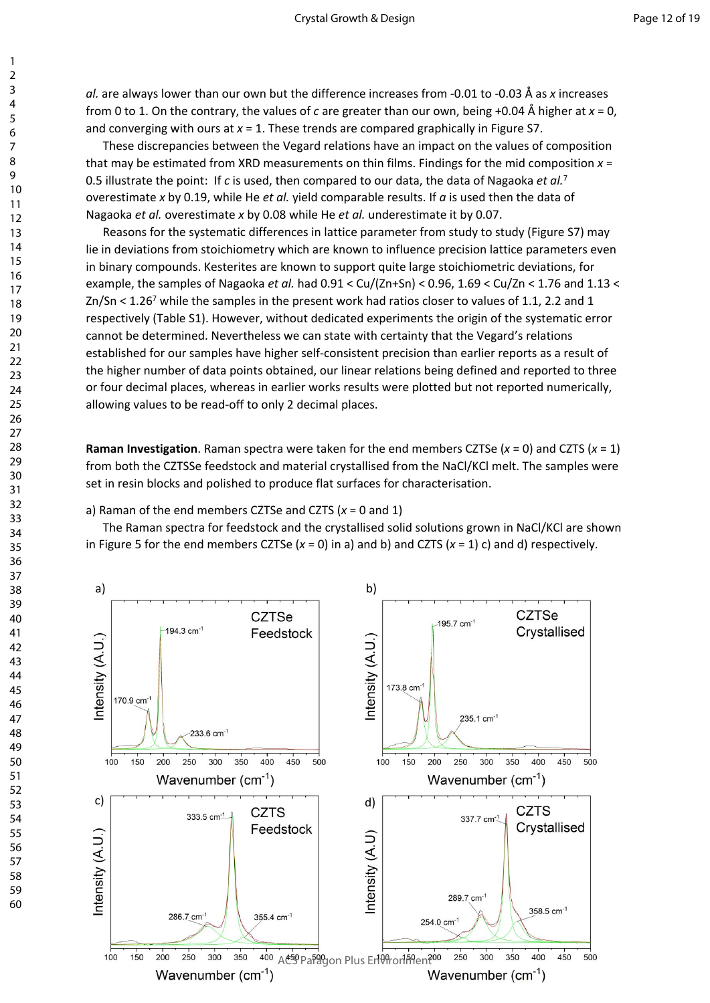*al.* are always lower than our own but the difference increases from -0.01 to -0.03 Å as *x* increases from 0 to 1. On the contrary, the values of *c* are greater than our own, being +0.04 Å higher at *x* = 0, and converging with ours at  $x = 1$ . These trends are compared graphically in Figure S7.

These discrepancies between the Vegard relations have an impact on the values of composition that may be estimated from XRD measurements on thin films. Findings for the mid composition *x* = 0.5 illustrate the point: If *c* is used, then compared to our data, the data of Nagaoka *et al.*<sup>7</sup> overestimate *x* by 0.19, while He *et al.* yield comparable results. If *a* is used then the data of Nagaoka *et al.* overestimate *x* by 0.08 while He *et al.* underestimate it by 0.07.

Reasons for the systematic differences in lattice parameter from study to study (Figure S7) may lie in deviations from stoichiometry which are known to influence precision lattice parameters even in binary compounds. Kesterites are known to support quite large stoichiometric deviations, for example, the samples of Nagaoka *et al.* had 0.91 < Cu/(Zn+Sn) < 0.96, 1.69 < Cu/Zn < 1.76 and 1.13 <  $Zn/Sn < 1.26<sup>7</sup>$  while the samples in the present work had ratios closer to values of 1.1, 2.2 and 1 respectively (Table S1). However, without dedicated experiments the origin of the systematic error cannot be determined. Nevertheless we can state with certainty that the Vegard's relations established for our samples have higher self-consistent precision than earlier reports as a result of the higher number of data points obtained, our linear relations being defined and reported to three or four decimal places, whereas in earlier works results were plotted but not reported numerically, allowing values to be read-off to only 2 decimal places.

**Raman Investigation**. Raman spectra were taken for the end members CZTSe (*x* = 0) and CZTS (*x* = 1) from both the CZTSSe feedstock and material crystallised from the NaCl/KCl melt. The samples were set in resin blocks and polished to produce flat surfaces for characterisation.

#### a) Raman of the end members CZTSe and CZTS (*x* = 0 and 1)

The Raman spectra for feedstock and the crystallised solid solutions grown in NaCl/KCl are shown in Figure 5 for the end members CZTSe  $(x = 0)$  in a) and b) and CZTS  $(x = 1)$  c) and d) respectively.

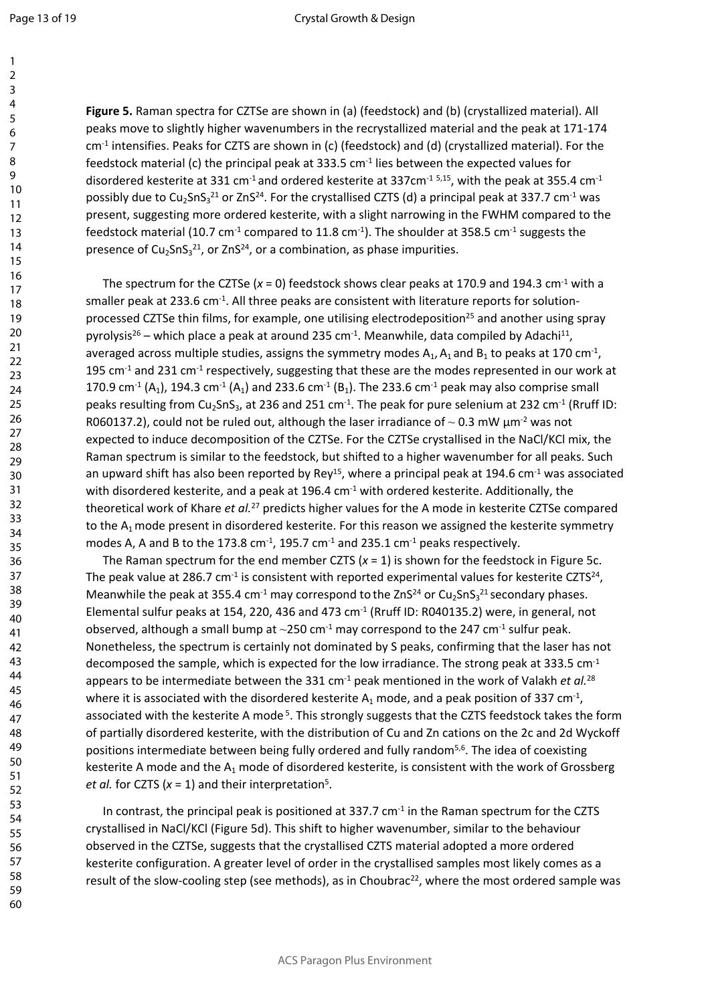60

**Figure 5.** Raman spectra for CZTSe are shown in (a) (feedstock) and (b) (crystallized material). All peaks move to slightly higher wavenumbers in the recrystallized material and the peak at 171-174  $cm<sup>-1</sup>$  intensifies. Peaks for CZTS are shown in (c) (feedstock) and (d) (crystallized material). For the feedstock material (c) the principal peak at 333.5 cm-1 lies between the expected values for disordered kesterite at 331 cm<sup>-1</sup> and ordered kesterite at 337cm<sup>-1 5,15</sup>, with the peak at 355.4 cm<sup>-1</sup> possibly due to Cu<sub>2</sub>SnS<sub>3</sub><sup>21</sup> or ZnS<sup>24</sup>. For the crystallised CZTS (d) a principal peak at 337.7 cm<sup>-1</sup> was present, suggesting more ordered kesterite, with a slight narrowing in the FWHM compared to the feedstock material (10.7 cm<sup>-1</sup> compared to 11.8 cm<sup>-1</sup>). The shoulder at 358.5 cm<sup>-1</sup> suggests the presence of  $Cu<sub>2</sub>SnS<sub>3</sub><sup>21</sup>$ , or ZnS<sup>24</sup>, or a combination, as phase impurities.

The spectrum for the CZTSe  $(x = 0)$  feedstock shows clear peaks at 170.9 and 194.3 cm<sup>-1</sup> with a smaller peak at 233.6 cm<sup>-1</sup>. All three peaks are consistent with literature reports for solutionprocessed CZTSe thin films, for example, one utilising electrodeposition<sup>25</sup> and another using spray pyrolysis<sup>26</sup> – which place a peak at around 235 cm<sup>-1</sup>. Meanwhile, data compiled by Adachi<sup>11</sup>, averaged across multiple studies, assigns the symmetry modes  $A_1$ ,  $A_1$  and  $B_1$  to peaks at 170 cm<sup>-1</sup>, 195  $cm<sup>-1</sup>$  and 231  $cm<sup>-1</sup>$  respectively, suggesting that these are the modes represented in our work at 170.9 cm<sup>-1</sup> (A<sub>1</sub>), 194.3 cm<sup>-1</sup> (A<sub>1</sub>) and 233.6 cm<sup>-1</sup> (B<sub>1</sub>). The 233.6 cm<sup>-1</sup> peak may also comprise small peaks resulting from Cu<sub>2</sub>SnS<sub>3</sub>, at 236 and 251 cm<sup>-1</sup>. The peak for pure selenium at 232 cm<sup>-1</sup> (Rruff ID: R060137.2), could not be ruled out, although the laser irradiance of  $\sim$  0.3 mW  $\mu$ m<sup>-2</sup> was not expected to induce decomposition of the CZTSe. For the CZTSe crystallised in the NaCl/KCl mix, the Raman spectrum is similar to the feedstock, but shifted to a higher wavenumber for all peaks. Such an upward shift has also been reported by Rey<sup>15</sup>, where a principal peak at 194.6 cm<sup>-1</sup> was associated with disordered kesterite, and a peak at 196.4 cm<sup>-1</sup> with ordered kesterite. Additionally, the theoretical work of Khare *et al.*<sup>27</sup> predicts higher values for the A mode in kesterite CZTSe compared to the  $A_1$  mode present in disordered kesterite. For this reason we assigned the kesterite symmetry modes A, A and B to the 173.8 cm<sup>-1</sup>, 195.7 cm<sup>-1</sup> and 235.1 cm<sup>-1</sup> peaks respectively.

The Raman spectrum for the end member CZTS  $(x = 1)$  is shown for the feedstock in Figure 5c. The peak value at 286.7 cm<sup>-1</sup> is consistent with reported experimental values for kesterite CZTS<sup>24</sup>, Meanwhile the peak at 355.4 cm<sup>-1</sup> may correspond to the ZnS<sup>24</sup> or Cu<sub>2</sub>SnS<sub>3</sub><sup>21</sup> secondary phases. Elemental sulfur peaks at 154, 220, 436 and 473 cm<sup>-1</sup> (Rruff ID: R040135.2) were, in general, not observed, although a small bump at  $\sim$ 250 cm<sup>-1</sup> may correspond to the 247 cm<sup>-1</sup> sulfur peak. Nonetheless, the spectrum is certainly not dominated by S peaks, confirming that the laser has not decomposed the sample, which is expected for the low irradiance. The strong peak at 333.5  $cm<sup>-1</sup>$ appears to be intermediate between the 331 cm<sup>-1</sup> peak mentioned in the work of Valakh *et al.*<sup>28</sup> where it is associated with the disordered kesterite  $A_1$  mode, and a peak position of 337 cm<sup>-1</sup>, associated with the kesterite A mode<sup>5</sup>. This strongly suggests that the CZTS feedstock takes the form of partially disordered kesterite, with the distribution of Cu and Zn cations on the 2c and 2d Wyckoff positions intermediate between being fully ordered and fully random5,6. The idea of coexisting kesterite A mode and the  $A_1$  mode of disordered kesterite, is consistent with the work of Grossberg *et al.* for CZTS ( $x = 1$ ) and their interpretation<sup>5</sup>.

In contrast, the principal peak is positioned at  $337.7 \text{ cm}^{-1}$  in the Raman spectrum for the CZTS crystallised in NaCl/KCl (Figure 5d). This shift to higher wavenumber, similar to the behaviour observed in the CZTSe, suggests that the crystallised CZTS material adopted a more ordered kesterite configuration. A greater level of order in the crystallised samples most likely comes as a result of the slow-cooling step (see methods), as in Choubrac<sup>22</sup>, where the most ordered sample was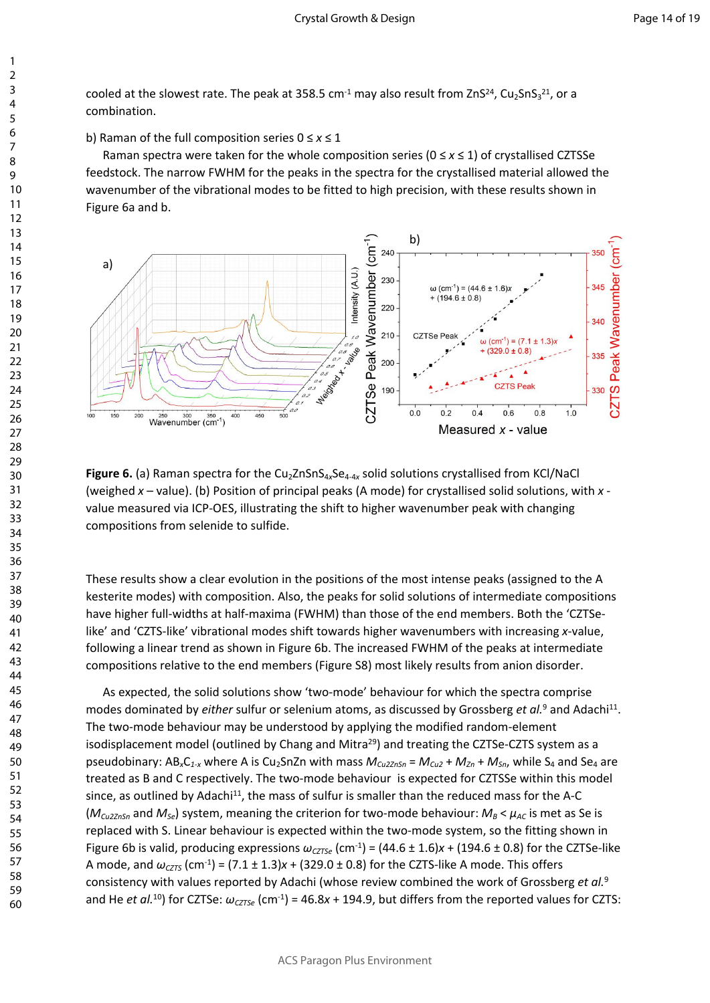cooled at the slowest rate. The peak at 358.5 cm<sup>-1</sup> may also result from ZnS<sup>24</sup>, Cu<sub>2</sub>SnS<sub>3</sub><sup>21</sup>, or a combination.

b) Raman of the full composition series 0 ≤ *x* ≤ 1

Raman spectra were taken for the whole composition series (0 ≤ *x* ≤ 1) of crystallised CZTSSe feedstock. The narrow FWHM for the peaks in the spectra for the crystallised material allowed the wavenumber of the vibrational modes to be fitted to high precision, with these results shown in Figure 6a and b.



Figure 6. (a) Raman spectra for the Cu<sub>2</sub>ZnSnS<sub>4x</sub>Se<sub>4-4x</sub> solid solutions crystallised from KCl/NaCl (weighed *x* – value). (b) Position of principal peaks (A mode) for crystallised solid solutions, with *x*  value measured via ICP-OES, illustrating the shift to higher wavenumber peak with changing compositions from selenide to sulfide.

These results show a clear evolution in the positions of the most intense peaks (assigned to the A kesterite modes) with composition. Also, the peaks for solid solutions of intermediate compositions have higher full-widths at half-maxima (FWHM) than those of the end members. Both the 'CZTSelike' and 'CZTS-like' vibrational modes shift towards higher wavenumbers with increasing *x*-value, following a linear trend as shown in Figure 6b. The increased FWHM of the peaks at intermediate compositions relative to the end members (Figure S8) most likely results from anion disorder.

As expected, the solid solutions show 'two-mode' behaviour for which the spectra comprise modes dominated by *either* sulfur or selenium atoms, as discussed by Grossberg *et al.*<sup>9</sup> and Adachi<sup>11</sup>. The two-mode behaviour may be understood by applying the modified random-element isodisplacement model (outlined by Chang and Mitra $^{29}$ ) and treating the CZTSe-CZTS system as a pseudobinary: AB<sub>x</sub>C<sub>1-x</sub> where A is Cu<sub>2</sub>SnZn with mass  $M_{Cu2ZnSn} = M_{Cu2} + M_{Zn} + M_{Sn}$ , while S<sub>4</sub> and Se<sub>4</sub> are treated as B and C respectively. The two-mode behaviour is expected for CZTSSe within this model since, as outlined by Adachi<sup>11</sup>, the mass of sulfur is smaller than the reduced mass for the A-C  $(M_{Cu2ZnSn}$  and  $M_{Se}$ ) system, meaning the criterion for two-mode behaviour:  $M_B < \mu_{AC}$  is met as Se is replaced with S. Linear behaviour is expected within the two-mode system, so the fitting shown in Figure 6b is valid, producing expressions  $\omega_{\text{CZT}\text{S}}$  (cm<sup>-1</sup>) = (44.6 ± 1.6)*x* + (194.6 ± 0.8) for the CZTSe-like A mode, and  $\omega_{\text{CZTS}}$  (cm<sup>-1</sup>) = (7.1 ± 1.3) $x$  + (329.0 ± 0.8) for the CZTS-like A mode. This offers consistency with values reported by Adachi (whose review combined the work of Grossberg *et al.*<sup>9</sup> and He *et al.*<sup>10</sup>) for CZTSe:  $\omega_{\text{CZTSe}}$  (cm<sup>-1</sup>) = 46.8*x* + 194.9, but differs from the reported values for CZTS: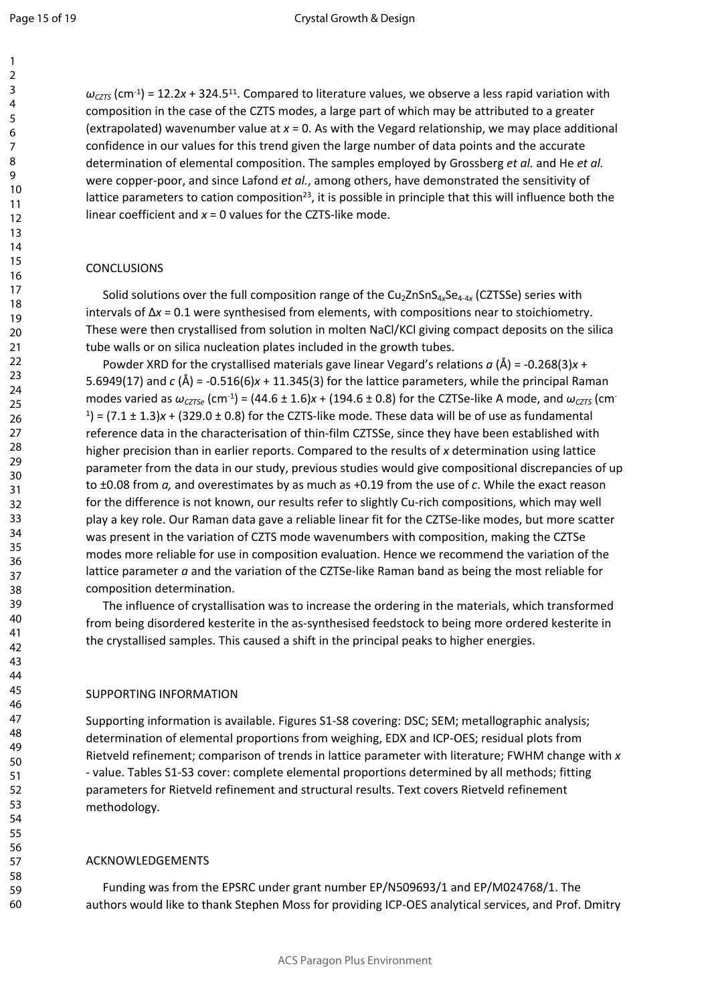$\omega_{\text{CZTS}}$  (cm<sup>-1</sup>) = 12.2*x* + 324.5<sup>11</sup>. Compared to literature values, we observe a less rapid variation with composition in the case of the CZTS modes, a large part of which may be attributed to a greater (extrapolated) wavenumber value at *x* = 0. As with the Vegard relationship, we may place additional confidence in our values for this trend given the large number of data points and the accurate determination of elemental composition. The samples employed by Grossberg *et al.* and He *et al.* were copper-poor, and since Lafond *et al.*, among others, have demonstrated the sensitivity of lattice parameters to cation composition<sup>23</sup>, it is possible in principle that this will influence both the linear coefficient and *x* = 0 values for the CZTS-like mode.

#### **CONCLUSIONS**

Solid solutions over the full composition range of the Cu<sub>2</sub>ZnSnS<sub>4x</sub>Se<sub>4-4x</sub> (CZTSSe) series with intervals of Δ*x* = 0.1 were synthesised from elements, with compositions near to stoichiometry. These were then crystallised from solution in molten NaCl/KCl giving compact deposits on the silica tube walls or on silica nucleation plates included in the growth tubes.

Powder XRD for the crystallised materials gave linear Vegard's relations *a* (Å) = -0.268(3)*x* + 5.6949(17) and *c* (Å) = -0.516(6)*x* + 11.345(3) for the lattice parameters, while the principal Raman modes varied as  $\omega_{\text{CZTSe}}$  (cm<sup>-1</sup>) = (44.6 ± 1.6)*x* + (194.6 ± 0.8) for the CZTSe-like A mode, and  $\omega_{\text{CZTS}}$  (cm<sup>-</sup>  $1$ ) = (7.1  $\pm$  1.3) $x$  + (329.0  $\pm$  0.8) for the CZTS-like mode. These data will be of use as fundamental reference data in the characterisation of thin-film CZTSSe, since they have been established with higher precision than in earlier reports. Compared to the results of *x* determination using lattice parameter from the data in our study, previous studies would give compositional discrepancies of up to ±0.08 from *a,* and overestimates by as much as +0.19 from the use of *c*. While the exact reason for the difference is not known, our results refer to slightly Cu-rich compositions, which may well play a key role. Our Raman data gave a reliable linear fit for the CZTSe-like modes, but more scatter was present in the variation of CZTS mode wavenumbers with composition, making the CZTSe modes more reliable for use in composition evaluation. Hence we recommend the variation of the lattice parameter *a* and the variation of the CZTSe-like Raman band as being the most reliable for composition determination.

The influence of crystallisation was to increase the ordering in the materials, which transformed from being disordered kesterite in the as-synthesised feedstock to being more ordered kesterite in the crystallised samples. This caused a shift in the principal peaks to higher energies.

#### SUPPORTING INFORMATION

Supporting information is available. Figures S1-S8 covering: DSC; SEM; metallographic analysis; determination of elemental proportions from weighing, EDX and ICP-OES; residual plots from Rietveld refinement; comparison of trends in lattice parameter with literature; FWHM change with *x*  - value. Tables S1-S3 cover: complete elemental proportions determined by all methods; fitting parameters for Rietveld refinement and structural results. Text covers Rietveld refinement methodology.

#### ACKNOWLEDGEMENTS

Funding was from the EPSRC under grant number EP/N509693/1 and EP/M024768/1. The authors would like to thank Stephen Moss for providing ICP-OES analytical services, and Prof. Dmitry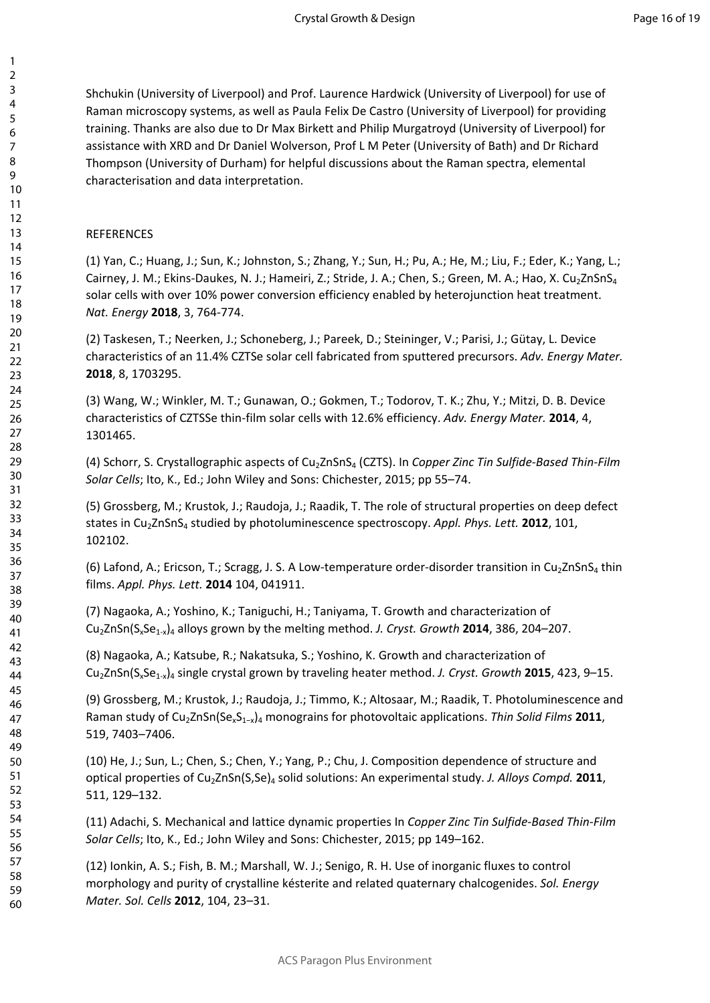Shchukin (University of Liverpool) and Prof. Laurence Hardwick (University of Liverpool) for use of Raman microscopy systems, as well as Paula Felix De Castro (University of Liverpool) for providing training. Thanks are also due to Dr Max Birkett and Philip Murgatroyd (University of Liverpool) for assistance with XRD and Dr Daniel Wolverson, Prof L M Peter (University of Bath) and Dr Richard Thompson (University of Durham) for helpful discussions about the Raman spectra, elemental characterisation and data interpretation.

#### REFERENCES

(1) Yan, C.; Huang, J.; Sun, K.; Johnston, S.; Zhang, Y.; Sun, H.; Pu, A.; He, M.; Liu, F.; Eder, K.; Yang, L.; Cairney, J. M.; Ekins-Daukes, N. J.; Hameiri, Z.; Stride, J. A.; Chen, S.; Green, M. A.; Hao, X. Cu<sub>2</sub>ZnSnS<sub>4</sub> solar cells with over 10% power conversion efficiency enabled by heterojunction heat treatment. *Nat. Energy* **2018**, 3, 764-774.

(2) Taskesen, T.; Neerken, J.; Schoneberg, J.; Pareek, D.; Steininger, V.; Parisi, J.; Gütay, L. Device characteristics of an 11.4% CZTSe solar cell fabricated from sputtered precursors. *Adv. Energy Mater.* **2018**, 8, 1703295.

(3) Wang, W.; Winkler, M. T.; Gunawan, O.; Gokmen, T.; Todorov, T. K.; Zhu, Y.; Mitzi, D. B. Device characteristics of CZTSSe thin-film solar cells with 12.6% efficiency. *Adv. Energy Mater.* **2014**, 4, 1301465.

(4) Schorr, S. Crystallographic aspects of Cu2ZnSnS4 (CZTS). In *Copper Zinc Tin Sulfide-Based Thin-Film Solar Cells*; Ito, K., Ed.; John Wiley and Sons: Chichester, 2015; pp 55–74.

(5) Grossberg, M.; Krustok, J.; Raudoja, J.; Raadik, T. The role of structural properties on deep defect states in Cu2ZnSnS4 studied by photoluminescence spectroscopy. *Appl. Phys. Lett.* **2012**, 101, 102102.

(6) Lafond, A.; Ericson, T.; Scragg, J. S. A Low-temperature order-disorder transition in Cu<sub>2</sub>ZnSnS<sub>4</sub> thin films. *Appl. Phys. Lett.* **2014** 104, 041911.

(7) Nagaoka, A.; Yoshino, K.; Taniguchi, H.; Taniyama, T. Growth and characterization of Cu2ZnSn(SxSe1-x)4 alloys grown by the melting method. *J. Cryst. Growth* **2014**, 386, 204–207.

(8) Nagaoka, A.; Katsube, R.; Nakatsuka, S.; Yoshino, K. Growth and characterization of Cu2ZnSn(SxSe1-x)4 single crystal grown by traveling heater method. *J. Cryst. Growth* **2015**, 423, 9–15.

(9) Grossberg, M.; Krustok, J.; Raudoja, J.; Timmo, K.; Altosaar, M.; Raadik, T. Photoluminescence and Raman study of Cu2ZnSn(SexS1−x)4 monograins for photovoltaic applications. *Thin Solid Films* **2011**, 519, 7403–7406.

(10) He, J.; Sun, L.; Chen, S.; Chen, Y.; Yang, P.; Chu, J. Composition dependence of structure and optical properties of Cu2ZnSn(S,Se)4 solid solutions: An experimental study. *J. Alloys Compd.* **2011**, 511, 129–132.

(11) Adachi, S. Mechanical and lattice dynamic properties In *Copper Zinc Tin Sulfide-Based Thin-Film Solar Cells*; Ito, K., Ed.; John Wiley and Sons: Chichester, 2015; pp 149–162.

(12) Ionkin, A. S.; Fish, B. M.; Marshall, W. J.; Senigo, R. H. Use of inorganic fluxes to control morphology and purity of crystalline késterite and related quaternary chalcogenides. *Sol. Energy Mater. Sol. Cells* **2012**, 104, 23–31.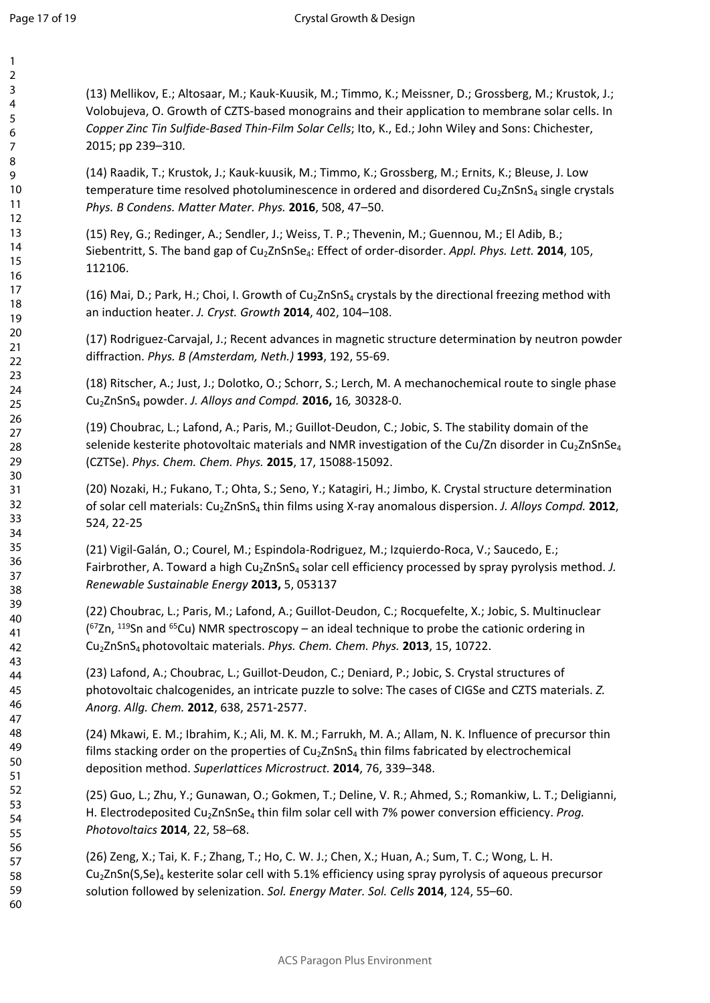(13) Mellikov, E.; Altosaar, M.; Kauk-Kuusik, M.; Timmo, K.; Meissner, D.; Grossberg, M.; Krustok, J.; Volobujeva, O. Growth of CZTS-based monograins and their application to membrane solar cells. In *Copper Zinc Tin Sulfide-Based Thin-Film Solar Cells*; Ito, K., Ed.; John Wiley and Sons: Chichester, 2015; pp 239–310.

(14) Raadik, T.; Krustok, J.; Kauk-kuusik, M.; Timmo, K.; Grossberg, M.; Ernits, K.; Bleuse, J. Low temperature time resolved photoluminescence in ordered and disordered  $Cu<sub>2</sub>ZnSnS<sub>4</sub>$  single crystals *Phys. B Condens. Matter Mater. Phys.* **2016**, 508, 47–50.

(15) Rey, G.; Redinger, A.; Sendler, J.; Weiss, T. P.; Thevenin, M.; Guennou, M.; El Adib, B.; Siebentritt, S. The band gap of Cu2ZnSnSe4: Effect of order-disorder. *Appl. Phys. Lett.* **2014**, 105, 112106.

(16) Mai, D.; Park, H.; Choi, I. Growth of  $Cu<sub>2</sub>ZnSnS<sub>4</sub>$  crystals by the directional freezing method with an induction heater. *J. Cryst. Growth* **2014**, 402, 104–108.

(17) Rodriguez-Carvajal, J.; Recent advances in magnetic structure determination by neutron powder diffraction. *Phys. B (Amsterdam, Neth.)* **1993**, 192, 55-69.

(18) Ritscher, A.; Just, J.; Dolotko, O.; Schorr, S.; Lerch, M. A mechanochemical route to single phase Cu2ZnSnS4 powder. *J. Alloys and Compd.* **2016,** 16*,* 30328-0.

(19) Choubrac, L.; Lafond, A.; Paris, M.; Guillot-Deudon, C.; Jobic, S. The stability domain of the selenide kesterite photovoltaic materials and NMR investigation of the Cu/Zn disorder in Cu<sub>2</sub>ZnSnSe<sub>4</sub> (CZTSe). *Phys. Chem. Chem. Phys.* **2015**, 17, 15088-15092.

(20) Nozaki, H.; Fukano, T.; Ohta, S.; Seno, Y.; Katagiri, H.; Jimbo, K. Crystal structure determination of solar cell materials: Cu2ZnSnS4 thin films using X-ray anomalous dispersion. *J. Alloys Compd.* **2012**, 524, 22-25

(21) Vigil-Galán, O.; Courel, M.; Espindola-Rodriguez, M.; Izquierdo-Roca, V.; Saucedo, E.; Fairbrother, A. Toward a high Cu<sub>2</sub>ZnSnS<sub>4</sub> solar cell efficiency processed by spray pyrolysis method. *J. Renewable Sustainable Energy* **2013,** 5, 053137

(22) Choubrac, L.; Paris, M.; Lafond, A.; Guillot-Deudon, C.; Rocquefelte, X.; Jobic, S. Multinuclear  $(^{67}Zn, ^{119}Sn$  and  $^{65}Cu$ ) NMR spectroscopy – an ideal technique to probe the cationic ordering in Cu2ZnSnS4 photovoltaic materials. *Phys. Chem. Chem. Phys.* **2013**, 15, 10722.

(23) Lafond, A.; Choubrac, L.; Guillot-Deudon, C.; Deniard, P.; Jobic, S. Crystal structures of photovoltaic chalcogenides, an intricate puzzle to solve: The cases of CIGSe and CZTS materials. *Z. Anorg. Allg. Chem.* **2012**, 638, 2571-2577.

(24) Mkawi, E. M.; Ibrahim, K.; Ali, M. K. M.; Farrukh, M. A.; Allam, N. K. Influence of precursor thin films stacking order on the properties of  $Cu<sub>2</sub>ZnSnS<sub>4</sub>$  thin films fabricated by electrochemical deposition method. *Superlattices Microstruct.* **2014**, 76, 339–348.

(25) Guo, L.; Zhu, Y.; Gunawan, O.; Gokmen, T.; Deline, V. R.; Ahmed, S.; Romankiw, L. T.; Deligianni, H. Electrodeposited Cu<sub>2</sub>ZnSnSe<sub>4</sub> thin film solar cell with 7% power conversion efficiency. *Prog. Photovoltaics* **2014**, 22, 58–68.

(26) Zeng, X.; Tai, K. F.; Zhang, T.; Ho, C. W. J.; Chen, X.; Huan, A.; Sum, T. C.; Wong, L. H.  $Cu<sub>2</sub>ZnSn(S,Se)<sub>4</sub>$  kesterite solar cell with 5.1% efficiency using spray pyrolysis of aqueous precursor solution followed by selenization. *Sol. Energy Mater. Sol. Cells* **2014**, 124, 55–60.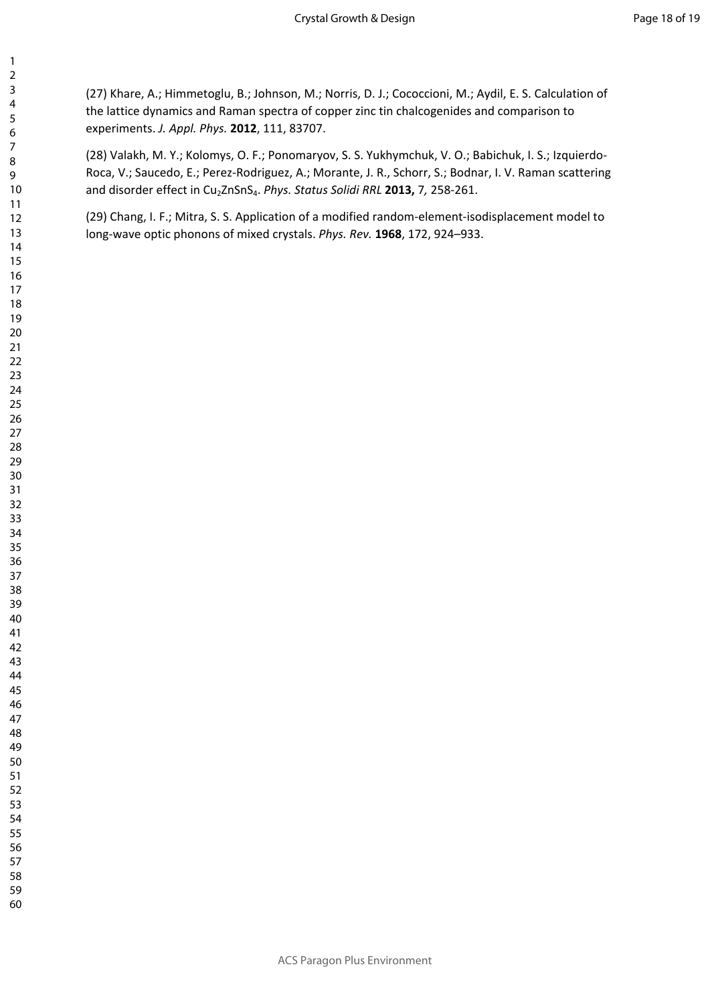(27) Khare, A.; Himmetoglu, B.; Johnson, M.; Norris, D. J.; Cococcioni, M.; Aydil, E. S. Calculation of the lattice dynamics and Raman spectra of copper zinc tin chalcogenides and comparison to experiments. *J. Appl. Phys.* **2012**, 111, 83707.

(28) Valakh, M. Y.; Kolomys, O. F.; Ponomaryov, S. S. Yukhymchuk, V. O.; Babichuk, I. S.; Izquierdo-Roca, V.; Saucedo, E.; Perez-Rodriguez, A.; Morante, J. R., Schorr, S.; Bodnar, I. V. Raman scattering and disorder effect in Cu<sub>2</sub>ZnSnS<sub>4</sub>. *Phys. Status Solidi RRL* 2013, 7, 258-261.

(29) Chang, I. F.; Mitra, S. S. Application of a modified random-element-isodisplacement model to long-wave optic phonons of mixed crystals. *Phys. Rev.* **1968**, 172, 924–933.